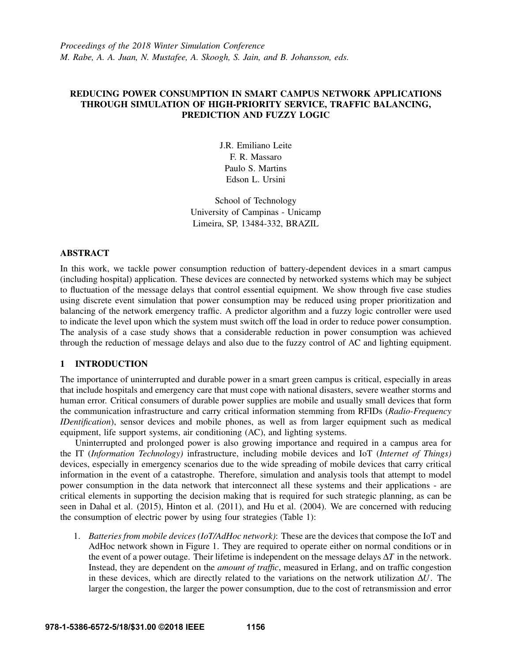*Proceedings of the 2018 Winter Simulation Conference M. Rabe, A. A. Juan, N. Mustafee, A. Skoogh, S. Jain, and B. Johansson, eds.*

# REDUCING POWER CONSUMPTION IN SMART CAMPUS NETWORK APPLICATIONS THROUGH SIMULATION OF HIGH-PRIORITY SERVICE, TRAFFIC BALANCING, PREDICTION AND FUZZY LOGIC

J.R. Emiliano Leite F. R. Massaro Paulo S. Martins Edson L. Ursini

School of Technology University of Campinas - Unicamp Limeira, SP, 13484-332, BRAZIL

# ABSTRACT

In this work, we tackle power consumption reduction of battery-dependent devices in a smart campus (including hospital) application. These devices are connected by networked systems which may be subject to fluctuation of the message delays that control essential equipment. We show through five case studies using discrete event simulation that power consumption may be reduced using proper prioritization and balancing of the network emergency traffic. A predictor algorithm and a fuzzy logic controller were used to indicate the level upon which the system must switch off the load in order to reduce power consumption. The analysis of a case study shows that a considerable reduction in power consumption was achieved through the reduction of message delays and also due to the fuzzy control of AC and lighting equipment.

# 1 INTRODUCTION

The importance of uninterrupted and durable power in a smart green campus is critical, especially in areas that include hospitals and emergency care that must cope with national disasters, severe weather storms and human error. Critical consumers of durable power supplies are mobile and usually small devices that form the communication infrastructure and carry critical information stemming from RFIDs (*Radio-Frequency IDentification*), sensor devices and mobile phones, as well as from larger equipment such as medical equipment, life support systems, air conditioning (AC), and lighting systems.

Uninterrupted and prolonged power is also growing importance and required in a campus area for the IT (*Information Technology)* infrastructure, including mobile devices and IoT (*Internet of Things)* devices, especially in emergency scenarios due to the wide spreading of mobile devices that carry critical information in the event of a catastrophe. Therefore, simulation and analysis tools that attempt to model power consumption in the data network that interconnect all these systems and their applications - are critical elements in supporting the decision making that is required for such strategic planning, as can be seen in [Dahal et al. \(2015\),](#page-11-0) [Hinton et al. \(2011\),](#page-11-1) and [Hu et al. \(2004\).](#page-11-2) We are concerned with reducing the consumption of electric power by using four strategies (Table [1\)](#page-1-0):

1. *Batteries from mobile devices (IoT/AdHoc network)*: These are the devices that compose the IoT and AdHoc network shown in Figure [1.](#page-3-0) They are required to operate either on normal conditions or in the event of a power outage. Their lifetime is independent on the message delays ∆*T* in the network. Instead, they are dependent on the *amount of traffic*, measured in Erlang, and on traffic congestion in these devices, which are directly related to the variations on the network utilization ∆*U*. The larger the congestion, the larger the power consumption, due to the cost of retransmission and error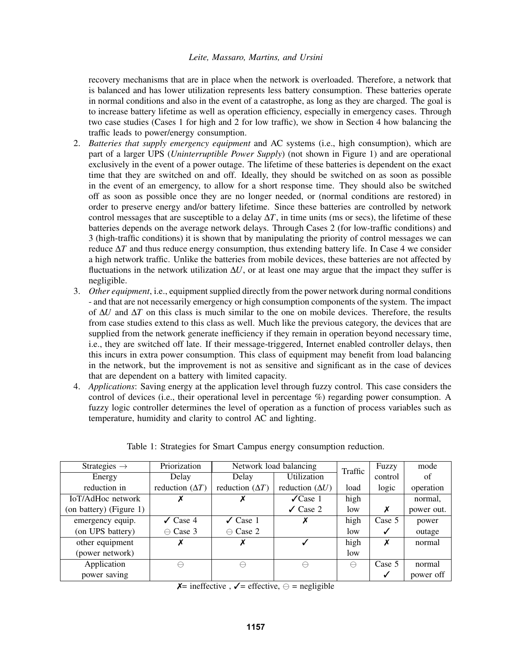recovery mechanisms that are in place when the network is overloaded. Therefore, a network that is balanced and has lower utilization represents less battery consumption. These batteries operate in normal conditions and also in the event of a catastrophe, as long as they are charged. The goal is to increase battery lifetime as well as operation efficiency, especially in emergency cases. Through two case studies (Cases 1 for high and 2 for low traffic), we show in Section [4](#page-4-0) how balancing the traffic leads to power/energy consumption.

- 2. *Batteries that supply emergency equipment* and AC systems (i.e., high consumption), which are part of a larger UPS (*Uninterruptible Power Supply*) (not shown in Figure [1\)](#page-3-0) and are operational exclusively in the event of a power outage. The lifetime of these batteries is dependent on the exact time that they are switched on and off. Ideally, they should be switched on as soon as possible in the event of an emergency, to allow for a short response time. They should also be switched off as soon as possible once they are no longer needed, or (normal conditions are restored) in order to preserve energy and/or battery lifetime. Since these batteries are controlled by network control messages that are susceptible to a delay  $\Delta T$ , in time units (ms or secs), the lifetime of these batteries depends on the average network delays. Through Cases 2 (for low-traffic conditions) and 3 (high-traffic conditions) it is shown that by manipulating the priority of control messages we can reduce  $\Delta T$  and thus reduce energy consumption, thus extending battery life. In Case 4 we consider a high network traffic. Unlike the batteries from mobile devices, these batteries are not affected by fluctuations in the network utilization  $\Delta U$ , or at least one may argue that the impact they suffer is negligible.
- 3. *Other equipment*, i.e., equipment supplied directly from the power network during normal conditions - and that are not necessarily emergency or high consumption components of the system. The impact of ∆*U* and ∆*T* on this class is much similar to the one on mobile devices. Therefore, the results from case studies extend to this class as well. Much like the previous category, the devices that are supplied from the network generate inefficiency if they remain in operation beyond necessary time, i.e., they are switched off late. If their message-triggered, Internet enabled controller delays, then this incurs in extra power consumption. This class of equipment may benefit from load balancing in the network, but the improvement is not as sensitive and significant as in the case of devices that are dependent on a battery with limited capacity.
- 4. *Applications*: Saving energy at the application level through fuzzy control. This case considers the control of devices (i.e., their operational level in percentage %) regarding power consumption. A fuzzy logic controller determines the level of operation as a function of process variables such as temperature, humidity and clarity to control AC and lighting.

<span id="page-1-0"></span>

| Strategies $\rightarrow$ | Priorization           | Network load balancing | Traffic                | Fuzzy     | mode    |            |
|--------------------------|------------------------|------------------------|------------------------|-----------|---------|------------|
| Energy                   | Delay                  | Delay                  | <b>Utilization</b>     |           | control | of         |
| reduction in             | reduction $(\Delta T)$ | reduction $(\Delta T)$ | reduction $(\Delta U)$ | load      | logic   | operation  |
| IoT/AdHoc network        |                        |                        | $\sqrt{Case 1}$        | high      |         | normal,    |
| (on battery) (Figure 1)  |                        |                        | $\checkmark$ Case 2    | low       | Х       | power out. |
| emergency equip.         | $\checkmark$ Case 4    | $\angle$ Case 1        | X                      | high      | Case 5  | power      |
| (on UPS battery)         | $\ominus$ Case 3       | $\ominus$ Case 2       |                        | low       | ✓       | outage     |
| other equipment          | Х                      | Х                      | ✓                      | high      | Х       | normal     |
| (power network)          |                        |                        |                        | low       |         |            |
| Application              | $\ominus$              | $\ominus$              | $\ominus$              | $\ominus$ | Case 5  | normal     |
| power saving             |                        |                        |                        |           |         | power off  |

Table 1: Strategies for Smart Campus energy consumption reduction.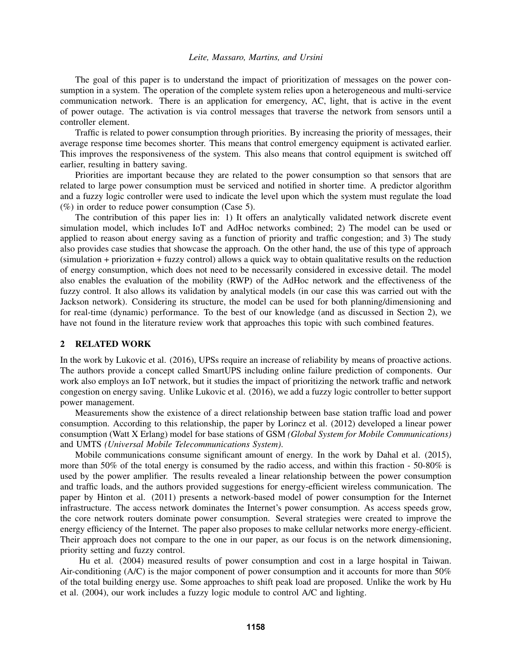The goal of this paper is to understand the impact of prioritization of messages on the power consumption in a system. The operation of the complete system relies upon a heterogeneous and multi-service communication network. There is an application for emergency, AC, light, that is active in the event of power outage. The activation is via control messages that traverse the network from sensors until a controller element.

Traffic is related to power consumption through priorities. By increasing the priority of messages, their average response time becomes shorter. This means that control emergency equipment is activated earlier. This improves the responsiveness of the system. This also means that control equipment is switched off earlier, resulting in battery saving.

Priorities are important because they are related to the power consumption so that sensors that are related to large power consumption must be serviced and notified in shorter time. A predictor algorithm and a fuzzy logic controller were used to indicate the level upon which the system must regulate the load  $(\%)$  in order to reduce power consumption (Case 5).

The contribution of this paper lies in: 1) It offers an analytically validated network discrete event simulation model, which includes IoT and AdHoc networks combined; 2) The model can be used or applied to reason about energy saving as a function of priority and traffic congestion; and 3) The study also provides case studies that showcase the approach. On the other hand, the use of this type of approach (simulation + priorization + fuzzy control) allows a quick way to obtain qualitative results on the reduction of energy consumption, which does not need to be necessarily considered in excessive detail. The model also enables the evaluation of the mobility (RWP) of the AdHoc network and the effectiveness of the fuzzy control. It also allows its validation by analytical models (in our case this was carried out with the Jackson network). Considering its structure, the model can be used for both planning/dimensioning and for real-time (dynamic) performance. To the best of our knowledge (and as discussed in Section [2\)](#page-2-0), we have not found in the literature review work that approaches this topic with such combined features.

# <span id="page-2-0"></span>2 RELATED WORK

In the work by [Lukovic et al. \(2016\),](#page-11-3) UPSs require an increase of reliability by means of proactive actions. The authors provide a concept called SmartUPS including online failure prediction of components. Our work also employs an IoT network, but it studies the impact of prioritizing the network traffic and network congestion on energy saving. Unlike [Lukovic et al. \(2016\),](#page-11-3) we add a fuzzy logic controller to better support power management.

Measurements show the existence of a direct relationship between base station traffic load and power consumption. According to this relationship, the paper by [Lorincz et al. \(2012\)](#page-11-4) developed a linear power consumption (Watt X Erlang) model for base stations of GSM *(Global System for Mobile Communications)* and UMTS *(Universal Mobile Telecommunications System)*.

Mobile communications consume significant amount of energy. In the work by [Dahal et al. \(2015\),](#page-11-0) more than 50% of the total energy is consumed by the radio access, and within this fraction - 50-80% is used by the power amplifier. The results revealed a linear relationship between the power consumption and traffic loads, and the authors provided suggestions for energy-efficient wireless communication. The paper by [Hinton et al. \(2011\)](#page-11-1) presents a network-based model of power consumption for the Internet infrastructure. The access network dominates the Internet's power consumption. As access speeds grow, the core network routers dominate power consumption. Several strategies were created to improve the energy efficiency of the Internet. The paper also proposes to make cellular networks more energy-efficient. Their approach does not compare to the one in our paper, as our focus is on the network dimensioning, priority setting and fuzzy control.

[Hu et al. \(2004\)](#page-11-2) measured results of power consumption and cost in a large hospital in Taiwan. Air-conditioning (A/C) is the major component of power consumption and it accounts for more than 50% of the total building energy use. Some approaches to shift peak load are proposed. Unlike the work by [Hu](#page-11-2) [et al. \(2004\),](#page-11-2) our work includes a fuzzy logic module to control A/C and lighting.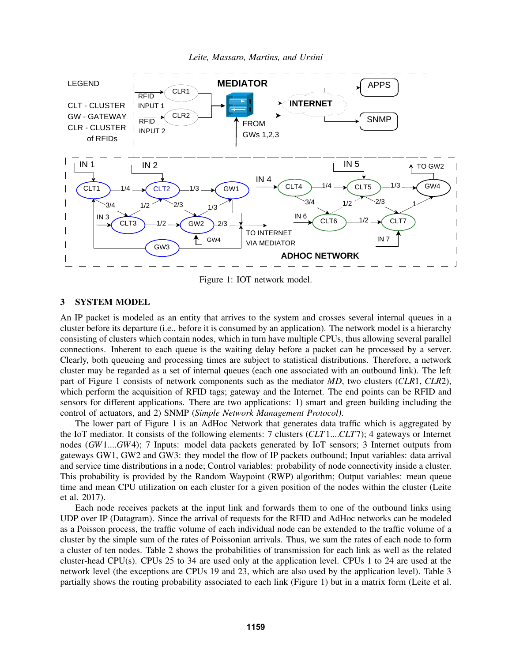<span id="page-3-0"></span>

*Leite, Massaro, Martins, and Ursini*

Figure 1: IOT network model.

# 3 SYSTEM MODEL

An IP packet is modeled as an entity that arrives to the system and crosses several internal queues in a cluster before its departure (i.e., before it is consumed by an application). The network model is a hierarchy consisting of clusters which contain nodes, which in turn have multiple CPUs, thus allowing several parallel connections. Inherent to each queue is the waiting delay before a packet can be processed by a server. Clearly, both queueing and processing times are subject to statistical distributions. Therefore, a network cluster may be regarded as a set of internal queues (each one associated with an outbound link). The left part of Figure 1 consists of network components such as the mediator *MD*, two clusters (*CLR*1, *CLR*2), which perform the acquisition of RFID tags; gateway and the Internet. The end points can be RFID and sensors for different applications. There are two applications: 1) smart and green building including the control of actuators, and 2) SNMP (*Simple Network Management Protocol)*.

The lower part of Figure [1](#page-3-0) is an AdHoc Network that generates data traffic which is aggregated by the IoT mediator. It consists of the following elements: 7 clusters (*CLT*1....*CLT*7); 4 gateways or Internet nodes (*GW*1....*GW*4); 7 Inputs: model data packets generated by IoT sensors; 3 Internet outputs from gateways GW1, GW2 and GW3: they model the flow of IP packets outbound; Input variables: data arrival and service time distributions in a node; Control variables: probability of node connectivity inside a cluster. This probability is provided by the Random Waypoint (RWP) algorithm; Output variables: mean queue time and mean CPU utilization on each cluster for a given position of the nodes within the cluster [\(Leite](#page-11-5) [et al. 2017\)](#page-11-5).

Each node receives packets at the input link and forwards them to one of the outbound links using UDP over IP (Datagram). Since the arrival of requests for the RFID and AdHoc networks can be modeled as a Poisson process, the traffic volume of each individual node can be extended to the traffic volume of a cluster by the simple sum of the rates of Poissonian arrivals. Thus, we sum the rates of each node to form a cluster of ten nodes. Table 2 shows the probabilities of transmission for each link as well as the related cluster-head CPU(s). CPUs 25 to 34 are used only at the application level. CPUs 1 to 24 are used at the network level (the exceptions are CPUs 19 and 23, which are also used by the application level). Table [3](#page-4-1) partially shows the routing probability associated to each link (Figure [1\)](#page-3-0) but in a matrix form [\(Leite et al.](#page-11-6)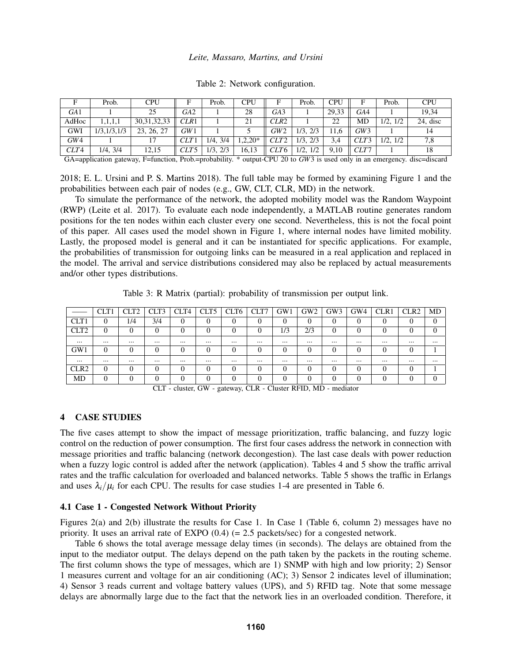|                 | Prob.         | CPU            |                  | Prob.         | <b>CPU</b> | F                | Prob.         | CPU   | F    | Prob.       | <b>CPU</b> |
|-----------------|---------------|----------------|------------------|---------------|------------|------------------|---------------|-------|------|-------------|------------|
| GA <sub>1</sub> |               | 25             | GA <sub>2</sub>  |               | 28         | GA <sub>3</sub>  |               | 29.33 | GA4  |             | 19.34      |
| AdHoc           | 1,1,1,1       | 30, 31, 32, 33 | CLR1             |               | 21         | CLR <sub>2</sub> |               | 22    | MD   | 1/2, 1/2    | 24, disc   |
| GWI             | 1/3, 1/3, 1/3 | 23, 26, 27     | GW1              |               |            | GW2              | $1/3$ , $2/3$ | 11.6  | GW 3 |             | 14         |
| GW4             |               |                | CLT1             | $1/4$ , $3/4$ | $1,2,20*$  | CLT <sub>2</sub> | 1/3.<br>2/3   | 3.4   | CLT3 | 1/2.<br>1/2 | 7,8        |
| CLT4            | $1/4$ , $3/4$ | 12,15          | CLT <sub>5</sub> | 1/3, 2/3      | 16,13      | CLT6             | $1/2$ , $1/2$ | 9.10  | CLT7 |             | 18         |

Table 2: Network configuration.

GA=application gateway, F=function, Prob.=probability. \* output-CPU 20 to *GW*3 is used only in an emergency. disc=discard

[2018;](#page-11-6) [E. L. Ursini and P. S. Martins 2018\)](#page-11-7). The full table may be formed by examining Figure [1](#page-3-0) and the probabilities between each pair of nodes (e.g., GW, CLT, CLR, MD) in the network.

To simulate the performance of the network, the adopted mobility model was the Random Waypoint (RWP) [\(Leite et al. 2017\)](#page-11-5). To evaluate each node independently, a MATLAB routine generates random positions for the ten nodes within each cluster every one second. Nevertheless, this is not the focal point of this paper. All cases used the model shown in Figure [1,](#page-3-0) where internal nodes have limited mobility. Lastly, the proposed model is general and it can be instantiated for specific applications. For example, the probabilities of transmission for outgoing links can be measured in a real application and replaced in the model. The arrival and service distributions considered may also be replaced by actual measurements and/or other types distributions.

Table 3: R Matrix (partial): probability of transmission per output link.

<span id="page-4-1"></span>

|                  | CLT1     | CLT <sub>2</sub> | CLT3 | CLT4     | CLT5 | CLT6 | CLT7 | GW1      | GW2      | GW <sub>3</sub> | GW4      | CLR <sub>1</sub> | CLR <sub>2</sub> | MD       |
|------------------|----------|------------------|------|----------|------|------|------|----------|----------|-----------------|----------|------------------|------------------|----------|
| CLT1             |          | 1/4              | 3/4  |          |      | 0    |      | 0        | 0        |                 |          |                  |                  |          |
| CLT <sub>2</sub> |          | 0                |      |          |      | 0    | 0    | 1/3      | 2/3      |                 | 0        |                  |                  |          |
|                  | $\cdots$ |                  |      |          |      |      |      |          |          | $\cdots$        |          |                  |                  |          |
| GW1              |          |                  |      |          |      |      | 0    | 0        | $\Omega$ |                 | $\Omega$ | 0                |                  |          |
|                  | $\cdots$ |                  |      | $\cdots$ |      |      |      | $\cdots$ |          | $\cdots$        |          |                  | $\cdots$         | $\cdots$ |
| CLR <sub>2</sub> |          |                  |      |          |      |      | 0    | 0        | 0        |                 | $\Omega$ | ſ                |                  |          |
| MD               |          |                  |      |          |      |      | 0    | 0        | 0        |                 |          |                  |                  |          |

CLT - cluster, GW - gateway, CLR - Cluster RFID, MD - mediator

#### <span id="page-4-0"></span>4 CASE STUDIES

The five cases attempt to show the impact of message prioritization, traffic balancing, and fuzzy logic control on the reduction of power consumption. The first four cases address the network in connection with message priorities and traffic balancing (network decongestion). The last case deals with power reduction when a fuzzy logic control is added after the network (application). Tables [4](#page-5-0) and [5](#page-5-1) show the traffic arrival rates and the traffic calculation for overloaded and balanced networks. Table [5](#page-5-1) shows the traffic in Erlangs and uses  $\lambda_i/\mu_i$  for each CPU. The results for case studies 1-4 are presented in Table [6.](#page-7-0)

#### 4.1 Case 1 - Congested Network Without Priority

Figures [2\(](#page-5-2)a) and [2\(](#page-5-2)b) illustrate the results for Case 1. In Case 1 (Table [6,](#page-7-0) column 2) messages have no priority. It uses an arrival rate of EXPO (0.4) (= 2.5 packets/sec) for a congested network.

Table [6](#page-7-0) shows the total average message delay times (in seconds). The delays are obtained from the input to the mediator output. The delays depend on the path taken by the packets in the routing scheme. The first column shows the type of messages, which are 1) SNMP with high and low priority; 2) Sensor 1 measures current and voltage for an air conditioning (AC); 3) Sensor 2 indicates level of illumination; 4) Sensor 3 reads current and voltage battery values (UPS), and 5) RFID tag. Note that some message delays are abnormally large due to the fact that the network lies in an overloaded condition. Therefore, it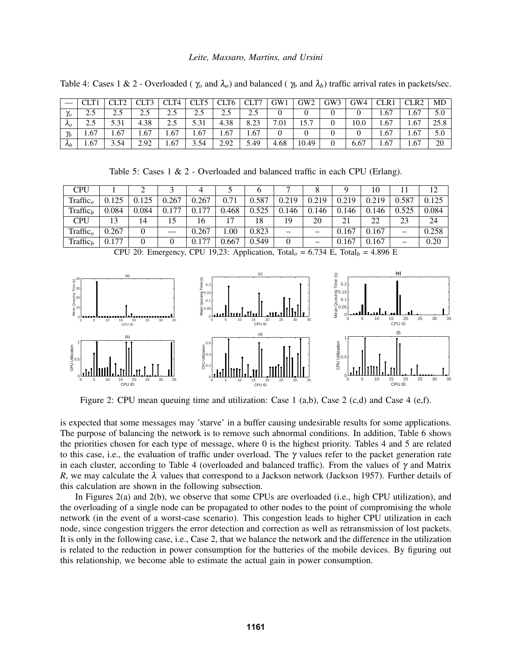|             |       |      | CLT <sub>3</sub> | CLT4 | CTT5<br>◡└⊥┘ | CLT <sub>6</sub> | CLT7                   | GW1            | GW2   | GW3 | GW4  | CLR1 | CLR <sub>2</sub> | MD   |
|-------------|-------|------|------------------|------|--------------|------------------|------------------------|----------------|-------|-----|------|------|------------------|------|
| $\gamma_o$  | ر. ک  | 2.5  | 2.5              | 2.5  | 2.5          | 2.5              | $\gamma$ $\zeta$<br>ر… |                |       |     |      | 1.67 | 1.67             | 5.0  |
| $\kappa_o$  | ر . ب | 5.31 | 4.38             | 2.5  | 5.31         | 4.38             | 8.23                   | $^{\prime}.01$ | 15.7  |     | 10.0 | 1.67 | 1.67             | 25.8 |
| $\gamma_b$  | 1.67  | 1.67 | 1.67             | 1.67 | 1.67         | 1.67             | 1.67                   |                |       |     |      | 1.67 | 1.67             | 5.0  |
| $\lambda_b$ | 1.67  | 3.54 | 2.92             | 1.67 | 3.54         | 2.92             | 5.49                   | 4.68           | 10.49 | 0   | 6.67 | 1.67 | 1.67             | 20   |

<span id="page-5-0"></span>Table 4: Cases 1 & 2 - Overloaded ( $\gamma_o$  and  $\lambda_o$ ) and balanced ( $\gamma_b$  and  $\lambda_b$ ) traffic arrival rates in packets/sec.

Table 5: Cases  $1 \& 2$  - Overloaded and balanced traffic in each CPU (Erlang).

<span id="page-5-1"></span>

| <b>CPU</b>           |       |       |       | 4     |       |       |                          |       |       | 10    | 11    | 12    |
|----------------------|-------|-------|-------|-------|-------|-------|--------------------------|-------|-------|-------|-------|-------|
| Traffic <sub>o</sub> | 0.125 | 0.125 | 0.267 | 0.267 | 0.71  | 0.587 | 0.219                    | 0.219 | 0.219 | 0.219 | 0.587 | 0.125 |
| Traffic <sub>b</sub> | 0.084 | 0.084 | 0.177 | 0.177 | 0.468 | 0.525 | 0.146                    | 0.146 | 0.146 | 0.146 | 0.525 | 0.084 |
| <b>CPU</b>           | 13    | 14    |       | 16    | 17    | 18    | 19                       | 20    |       | 22    | 23    | 24    |
| $\text{Traffic}_{o}$ | 0.267 |       |       | 0.267 | 00.1  | 0.823 | $\overline{\phantom{a}}$ | -     | 0.167 | 0.167 | -     | 0.258 |
| Traffic <sub>h</sub> | 0.177 |       |       | 0.177 | 0.667 | 0.549 | 0                        | –     | 0.167 | 0.167 | -     | 0.20  |

CPU 20: Emergency, CPU 19,23: Application, Total<sub> $o$ </sub> = 6.734 E, Total<sub> $b$ </sub> = 4.896 E

<span id="page-5-2"></span>

Figure 2: CPU mean queuing time and utilization: Case 1 (a,b), Case 2 (c,d) and Case 4 (e,f).

is expected that some messages may 'starve' in a buffer causing undesirable results for some applications. The purpose of balancing the network is to remove such abnormal conditions. In addition, Table [6](#page-7-0) shows the priorities chosen for each type of message, where 0 is the highest priority. Tables [4](#page-5-0) and [5](#page-5-1) are related to this case, i.e., the evaluation of traffic under overload. The  $\gamma$  values refer to the packet generation rate in each cluster, according to Table [4](#page-5-0) (overloaded and balanced traffic). From the values of  $\gamma$  and Matrix *R*, we may calculate the  $\lambda$  values that correspond to a Jackson network [\(Jackson 1957\)](#page-11-8). Further details of this calculation are shown in the following subsection.

In Figures [2\(](#page-5-2)a) and [2\(](#page-5-2)b), we observe that some CPUs are overloaded (i.e., high CPU utilization), and the overloading of a single node can be propagated to other nodes to the point of compromising the whole network (in the event of a worst-case scenario). This congestion leads to higher CPU utilization in each node, since congestion triggers the error detection and correction as well as retransmission of lost packets. It is only in the following case, i.e., Case 2, that we balance the network and the difference in the utilization is related to the reduction in power consumption for the batteries of the mobile devices. By figuring out this relationship, we become able to estimate the actual gain in power consumption.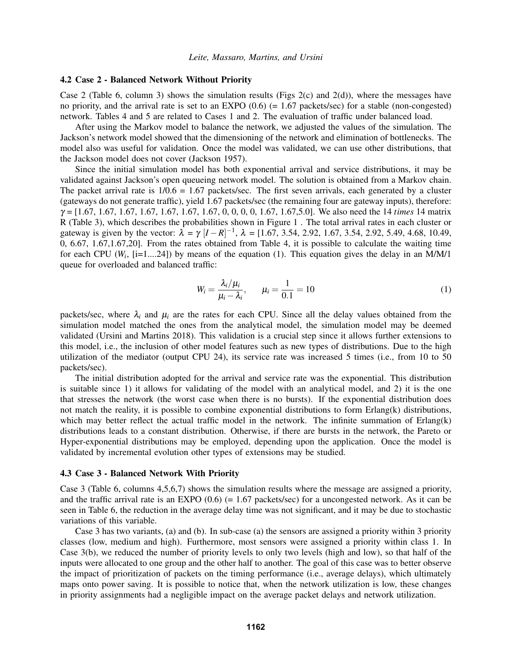### 4.2 Case 2 - Balanced Network Without Priority

Case 2 (Table [6,](#page-7-0) column 3) shows the simulation results (Figs [2\(](#page-5-2)c) and [2\(](#page-5-2)d)), where the messages have no priority, and the arrival rate is set to an EXPO  $(0.6)$  (= 1.67 packets/sec) for a stable (non-congested) network. Tables [4](#page-5-0) and [5](#page-5-1) are related to Cases 1 and 2. The evaluation of traffic under balanced load.

After using the Markov model to balance the network, we adjusted the values of the simulation. The Jackson's network model showed that the dimensioning of the network and elimination of bottlenecks. The model also was useful for validation. Once the model was validated, we can use other distributions, that the Jackson model does not cover [\(Jackson 1957\)](#page-11-8).

Since the initial simulation model has both exponential arrival and service distributions, it may be validated against Jackson's open queueing network model. The solution is obtained from a Markov chain. The packet arrival rate is  $1/0.6 = 1.67$  packets/sec. The first seven arrivals, each generated by a cluster (gateways do not generate traffic), yield 1.67 packets/sec (the remaining four are gateway inputs), therefore: γ = [1.67, 1.67, 1.67, 1.67, 1.67, 1.67, 1.67, 0, 0, 0, 0, 1.67, 1.67,5.0]. We also need the 14 *times* 14 matrix R (Table [3\)](#page-4-1), which describes the probabilities shown in Figure [1](#page-3-0) . The total arrival rates in each cluster or gateway is given by the vector:  $\lambda = \gamma [I - R]^{-1}$ ,  $\lambda = [1.67, 3.54, 2.92, 1.67, 3.54, 2.92, 5.49, 4.68, 10.49,$ 0, 6.67, 1.67,1.67,20]. From the rates obtained from Table [4,](#page-5-0) it is possible to calculate the waiting time for each CPU  $(W_i, [i=1...24])$  by means of the equation [\(1\)](#page-6-0). This equation gives the delay in an M/M/1 queue for overloaded and balanced traffic:

<span id="page-6-0"></span>
$$
W_i = \frac{\lambda_i/\mu_i}{\mu_i - \lambda_i}, \qquad \mu_i = \frac{1}{0.1} = 10
$$
\n<sup>(1)</sup>

packets/sec, where  $\lambda_i$  and  $\mu_i$  are the rates for each CPU. Since all the delay values obtained from the simulation model matched the ones from the analytical model, the simulation model may be deemed validated [\(Ursini and Martins 2018\)](#page-11-7). This validation is a crucial step since it allows further extensions to this model, i.e., the inclusion of other model features such as new types of distributions. Due to the high utilization of the mediator (output CPU 24), its service rate was increased 5 times (i.e., from 10 to 50 packets/sec).

The initial distribution adopted for the arrival and service rate was the exponential. This distribution is suitable since 1) it allows for validating of the model with an analytical model, and 2) it is the one that stresses the network (the worst case when there is no bursts). If the exponential distribution does not match the reality, it is possible to combine exponential distributions to form Erlang(k) distributions, which may better reflect the actual traffic model in the network. The infinite summation of Erlang(k) distributions leads to a constant distribution. Otherwise, if there are bursts in the network, the Pareto or Hyper-exponential distributions may be employed, depending upon the application. Once the model is validated by incremental evolution other types of extensions may be studied.

### 4.3 Case 3 - Balanced Network With Priority

Case 3 (Table [6,](#page-7-0) columns 4,5,6,7) shows the simulation results where the message are assigned a priority, and the traffic arrival rate is an EXPO  $(0.6)$  (= 1.67 packets/sec) for a uncongested network. As it can be seen in Table [6,](#page-7-0) the reduction in the average delay time was not significant, and it may be due to stochastic variations of this variable.

Case 3 has two variants, (a) and (b). In sub-case (a) the sensors are assigned a priority within 3 priority classes (low, medium and high). Furthermore, most sensors were assigned a priority within class 1. In Case 3(b), we reduced the number of priority levels to only two levels (high and low), so that half of the inputs were allocated to one group and the other half to another. The goal of this case was to better observe the impact of prioritization of packets on the timing performance (i.e., average delays), which ultimately maps onto power saving. It is possible to notice that, when the network utilization is low, these changes in priority assignments had a negligible impact on the average packet delays and network utilization.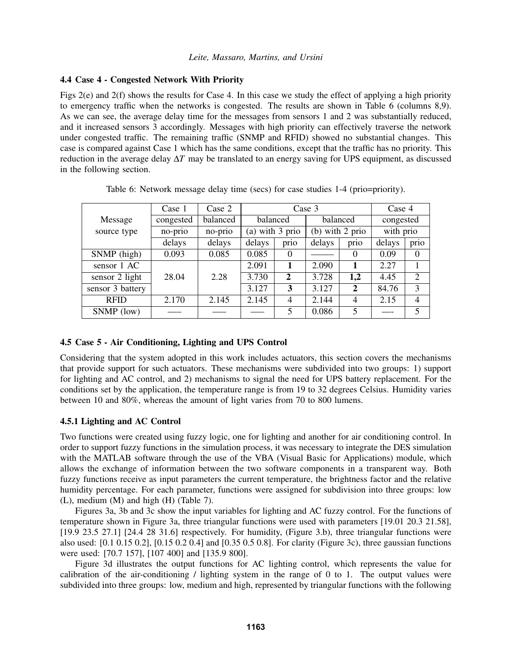## 4.4 Case 4 - Congested Network With Priority

Figs [2\(](#page-5-2)e) and [2\(](#page-5-2)f) shows the results for Case 4. In this case we study the effect of applying a high priority to emergency traffic when the networks is congested. The results are shown in Table [6](#page-7-0) (columns 8,9). As we can see, the average delay time for the messages from sensors 1 and 2 was substantially reduced, and it increased sensors 3 accordingly. Messages with high priority can effectively traverse the network under congested traffic. The remaining traffic (SNMP and RFID) showed no substantial changes. This case is compared against Case 1 which has the same conditions, except that the traffic has no priority. This reduction in the average delay ∆*T* may be translated to an energy saving for UPS equipment, as discussed in the following section.

<span id="page-7-0"></span>

|                  | Case 1    | Case 2   |          | Case 3          |          | Case 4            |           |                |
|------------------|-----------|----------|----------|-----------------|----------|-------------------|-----------|----------------|
| Message          | congested | balanced | balanced |                 | balanced |                   | congested |                |
| source type      | no-prio   | no-prio  |          | (a) with 3 prio |          | (b) with $2$ prio |           | with prio      |
|                  | delays    | delays   | delays   | prio            | delays   | prio              | delays    | prio           |
| SNMP (high)      | 0.093     | 0.085    | 0.085    | $\Omega$        |          | $\Omega$          | 0.09      | $\Omega$       |
| sensor 1 AC      |           |          | 2.091    | 1               | 2.090    | 1                 | 2.27      |                |
| sensor 2 light   | 28.04     | 2.28     | 3.730    | $\overline{2}$  | 3.728    | 1,2               | 4.45      | $\overline{2}$ |
| sensor 3 battery |           |          | 3.127    | 3               | 3.127    | $\mathbf{2}$      | 84.76     | 3              |
| <b>RFID</b>      | 2.170     | 2.145    | 2.145    | 4               | 2.144    | 4                 | 2.15      | $\overline{4}$ |
| SNMP (low)       |           |          |          | 5               | 0.086    | 5                 |           | 5              |

Table 6: Network message delay time (secs) for case studies 1-4 (prio=priority).

# 4.5 Case 5 - Air Conditioning, Lighting and UPS Control

Considering that the system adopted in this work includes actuators, this section covers the mechanisms that provide support for such actuators. These mechanisms were subdivided into two groups: 1) support for lighting and AC control, and 2) mechanisms to signal the need for UPS battery replacement. For the conditions set by the application, the temperature range is from 19 to 32 degrees Celsius. Humidity varies between 10 and 80%, whereas the amount of light varies from 70 to 800 lumens.

## 4.5.1 Lighting and AC Control

Two functions were created using fuzzy logic, one for lighting and another for air conditioning control. In order to support fuzzy functions in the simulation process, it was necessary to integrate the DES simulation with the MATLAB software through the use of the VBA (Visual Basic for Applications) module, which allows the exchange of information between the two software components in a transparent way. Both fuzzy functions receive as input parameters the current temperature, the brightness factor and the relative humidity percentage. For each parameter, functions were assigned for subdivision into three groups: low (L), medium (M) and high (H) (Table [7\)](#page-8-0).

Figures [3a](#page-8-1), [3b](#page-8-1) and [3c](#page-8-1) show the input variables for lighting and AC fuzzy control. For the functions of temperature shown in Figure 3a, three triangular functions were used with parameters [19.01 20.3 21.58], [19.9 23.5 27.1] [24.4 28 31.6] respectively. For humidity, (Figure 3.b), three triangular functions were also used: [0.1 0.15 0.2], [0.15 0.2 0.4] and [0.35 0.5 0.8]. For clarity (Figure [3c](#page-8-1)), three gaussian functions were used: [70.7 157], [107 400] and [135.9 800].

Figure [3d](#page-8-1) illustrates the output functions for AC lighting control, which represents the value for calibration of the air-conditioning / lighting system in the range of 0 to 1. The output values were subdivided into three groups: low, medium and high, represented by triangular functions with the following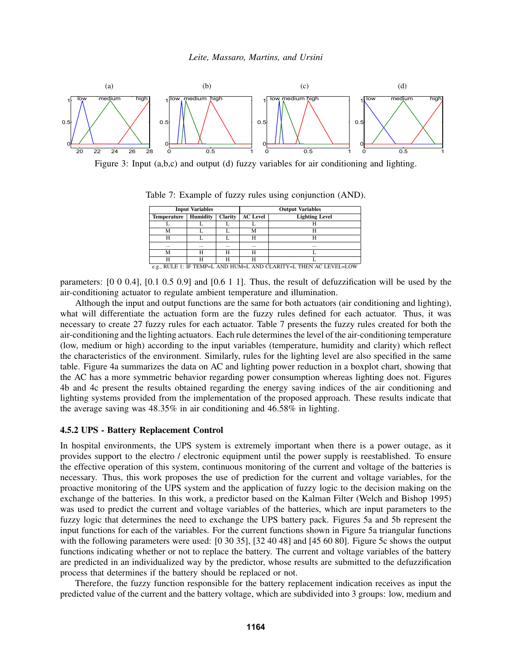<span id="page-8-1"></span>

<span id="page-8-0"></span>Figure 3: Input (a,b,c) and output (d) fuzzy variables for air conditioning and lighting.

|                    | <b>Input Variables</b>                                            |                |                 | <b>Output Variables</b> |  |  |  |  |  |  |
|--------------------|-------------------------------------------------------------------|----------------|-----------------|-------------------------|--|--|--|--|--|--|
| <b>Temperature</b> | Humidity                                                          | <b>Clarity</b> | <b>AC</b> Level | <b>Lighting Level</b>   |  |  |  |  |  |  |
|                    |                                                                   |                |                 |                         |  |  |  |  |  |  |
| М                  |                                                                   |                | М               | н                       |  |  |  |  |  |  |
| н                  |                                                                   |                | Н               | н                       |  |  |  |  |  |  |
| $\cdots$           |                                                                   | $\cdots$       | $\cdots$        | $\cdots$                |  |  |  |  |  |  |
| М                  | н                                                                 | н              | н               |                         |  |  |  |  |  |  |
| н                  | н                                                                 | н              | н               |                         |  |  |  |  |  |  |
|                    | e.g., RULE 1: IF TEMP=L AND HUM=L AND CLARITY=L THEN AC LEVEL=LOW |                |                 |                         |  |  |  |  |  |  |

Table 7: Example of fuzzy rules using conjunction (AND).

parameters: [0 0 0.4], [0.1 0.5 0.9] and [0.6 1 1]. Thus, the result of defuzzification will be used by the air-conditioning actuator to regulate ambient temperature and illumination.

Although the input and output functions are the same for both actuators (air conditioning and lighting), what will differentiate the actuation form are the fuzzy rules defined for each actuator. Thus, it was necessary to create 27 fuzzy rules for each actuator. Table [7](#page-8-0) presents the fuzzy rules created for both the air-conditioning and the lighting actuators. Each rule determines the level of the air-conditioning temperature (low, medium or high) according to the input variables (temperature, humidity and clarity) which reflect the characteristics of the environment. Similarly, rules for the lighting level are also specified in the same table. Figure [4a](#page-9-0) summarizes the data on AC and lighting power reduction in a boxplot chart, showing that the AC has a more symmetric behavior regarding power consumption whereas lighting does not. Figures [4b](#page-9-0) and [4c](#page-9-0) present the results obtained regarding the energy saving indices of the air conditioning and lighting systems provided from the implementation of the proposed approach. These results indicate that the average saving was 48.35% in air conditioning and 46.58% in lighting.

## 4.5.2 UPS - Battery Replacement Control

In hospital environments, the UPS system is extremely important when there is a power outage, as it provides support to the electro / electronic equipment until the power supply is reestablished. To ensure the effective operation of this system, continuous monitoring of the current and voltage of the batteries is necessary. Thus, this work proposes the use of prediction for the current and voltage variables, for the proactive monitoring of the UPS system and the application of fuzzy logic to the decision making on the exchange of the batteries. In this work, a predictor based on the Kalman Filter [\(Welch and Bishop 1995\)](#page-11-9) was used to predict the current and voltage variables of the batteries, which are input parameters to the fuzzy logic that determines the need to exchange the UPS battery pack. Figures [5a](#page-9-1) and [5b](#page-9-1) represent the input functions for each of the variables. For the current functions shown in Figure [5a](#page-9-1) triangular functions with the following parameters were used: [0 30 35], [32 40 48] and [45 60 80]. Figure [5c](#page-9-1) shows the output functions indicating whether or not to replace the battery. The current and voltage variables of the battery are predicted in an individualized way by the predictor, whose results are submitted to the defuzzification process that determines if the battery should be replaced or not.

Therefore, the fuzzy function responsible for the battery replacement indication receives as input the predicted value of the current and the battery voltage, which are subdivided into 3 groups: low, medium and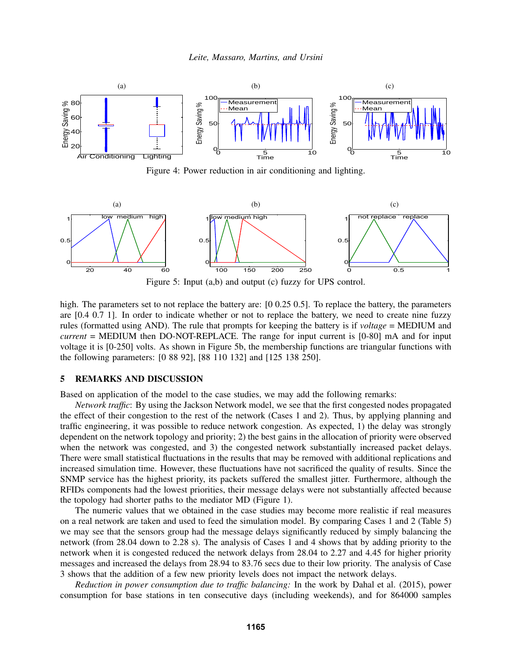<span id="page-9-0"></span>

Figure 4: Power reduction in air conditioning and lighting.

<span id="page-9-1"></span>

Figure 5: Input (a,b) and output (c) fuzzy for UPS control.

high. The parameters set to not replace the battery are: [0 0.25 0.5]. To replace the battery, the parameters are [0.4 0.7 1]. In order to indicate whether or not to replace the battery, we need to create nine fuzzy rules (formatted using AND). The rule that prompts for keeping the battery is if *voltage* = MEDIUM and *current* = MEDIUM then DO-NOT-REPLACE. The range for input current is [0-80] mA and for input voltage it is [0-250] volts. As shown in Figure [5b](#page-9-1), the membership functions are triangular functions with the following parameters: [0 88 92], [88 110 132] and [125 138 250].

# 5 REMARKS AND DISCUSSION

Based on application of the model to the case studies, we may add the following remarks:

*Network traffic*: By using the Jackson Network model, we see that the first congested nodes propagated the effect of their congestion to the rest of the network (Cases 1 and 2). Thus, by applying planning and traffic engineering, it was possible to reduce network congestion. As expected, 1) the delay was strongly dependent on the network topology and priority; 2) the best gains in the allocation of priority were observed when the network was congested, and 3) the congested network substantially increased packet delays. There were small statistical fluctuations in the results that may be removed with additional replications and increased simulation time. However, these fluctuations have not sacrificed the quality of results. Since the SNMP service has the highest priority, its packets suffered the smallest jitter. Furthermore, although the RFIDs components had the lowest priorities, their message delays were not substantially affected because the topology had shorter paths to the mediator MD (Figure [1\)](#page-3-0).

The numeric values that we obtained in the case studies may become more realistic if real measures on a real network are taken and used to feed the simulation model. By comparing Cases 1 and 2 (Table 5) we may see that the sensors group had the message delays significantly reduced by simply balancing the network (from 28.04 down to 2.28 s). The analysis of Cases 1 and 4 shows that by adding priority to the network when it is congested reduced the network delays from 28.04 to 2.27 and 4.45 for higher priority messages and increased the delays from 28.94 to 83.76 secs due to their low priority. The analysis of Case 3 shows that the addition of a few new priority levels does not impact the network delays.

*Reduction in power consumption due to traffic balancing:* In the work by [Dahal et al. \(2015\),](#page-11-0) power consumption for base stations in ten consecutive days (including weekends), and for 864000 samples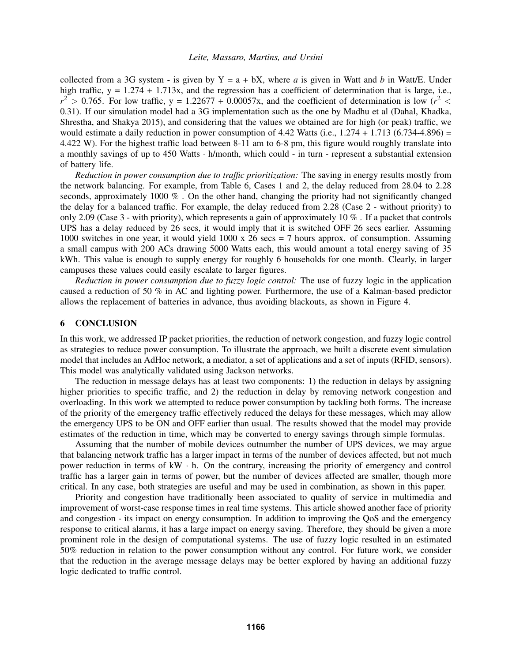collected from a 3G system - is given by  $Y = a + bX$ , where *a* is given in Watt and *b* in Watt/E. Under high traffic,  $y = 1.274 + 1.713x$ , and the regression has a coefficient of determination that is large, i.e.,  $r^2 > 0.765$ . For low traffic, y = 1.22677 + 0.00057x, and the coefficient of determination is low ( $r^2$  < 0.31). If our simulation model had a 3G implementation such as the one by Madhu et al [\(Dahal, Khadka,](#page-11-0) [Shrestha, and Shakya 2015\)](#page-11-0), and considering that the values we obtained are for high (or peak) traffic, we would estimate a daily reduction in power consumption of 4.42 Watts (i.e.,  $1.274 + 1.713$  (6.734-4.896) = 4.422 W). For the highest traffic load between 8-11 am to 6-8 pm, this figure would roughly translate into a monthly savings of up to 450 Watts  $\cdot$  h/month, which could  $\cdot$  in turn - represent a substantial extension of battery life.

*Reduction in power consumption due to traffic prioritization:* The saving in energy results mostly from the network balancing. For example, from Table [6,](#page-7-0) Cases 1 and 2, the delay reduced from 28.04 to 2.28 seconds, approximately 1000 % . On the other hand, changing the priority had not significantly changed the delay for a balanced traffic. For example, the delay reduced from 2.28 (Case 2 - without priority) to only 2.09 (Case 3 - with priority), which represents a gain of approximately 10 % . If a packet that controls UPS has a delay reduced by 26 secs, it would imply that it is switched OFF 26 secs earlier. Assuming 1000 switches in one year, it would yield 1000 x 26 secs = 7 hours approx. of consumption. Assuming a small campus with 200 ACs drawing 5000 Watts each, this would amount a total energy saving of 35 kWh. This value is enough to supply energy for roughly 6 households for one month. Clearly, in larger campuses these values could easily escalate to larger figures.

*Reduction in power consumption due to fuzzy logic control:* The use of fuzzy logic in the application caused a reduction of 50 % in AC and lighting power. Furthermore, the use of a Kalman-based predictor allows the replacement of batteries in advance, thus avoiding blackouts, as shown in Figure [4.](#page-9-0)

### 6 CONCLUSION

In this work, we addressed IP packet priorities, the reduction of network congestion, and fuzzy logic control as strategies to reduce power consumption. To illustrate the approach, we built a discrete event simulation model that includes an AdHoc network, a mediator, a set of applications and a set of inputs (RFID, sensors). This model was analytically validated using Jackson networks.

The reduction in message delays has at least two components: 1) the reduction in delays by assigning higher priorities to specific traffic, and 2) the reduction in delay by removing network congestion and overloading. In this work we attempted to reduce power consumption by tackling both forms. The increase of the priority of the emergency traffic effectively reduced the delays for these messages, which may allow the emergency UPS to be ON and OFF earlier than usual. The results showed that the model may provide estimates of the reduction in time, which may be converted to energy savings through simple formulas.

Assuming that the number of mobile devices outnumber the number of UPS devices, we may argue that balancing network traffic has a larger impact in terms of the number of devices affected, but not much power reduction in terms of  $kW \cdot h$ . On the contrary, increasing the priority of emergency and control traffic has a larger gain in terms of power, but the number of devices affected are smaller, though more critical. In any case, both strategies are useful and may be used in combination, as shown in this paper.

Priority and congestion have traditionally been associated to quality of service in multimedia and improvement of worst-case response times in real time systems. This article showed another face of priority and congestion - its impact on energy consumption. In addition to improving the QoS and the emergency response to critical alarms, it has a large impact on energy saving. Therefore, they should be given a more prominent role in the design of computational systems. The use of fuzzy logic resulted in an estimated 50% reduction in relation to the power consumption without any control. For future work, we consider that the reduction in the average message delays may be better explored by having an additional fuzzy logic dedicated to traffic control.